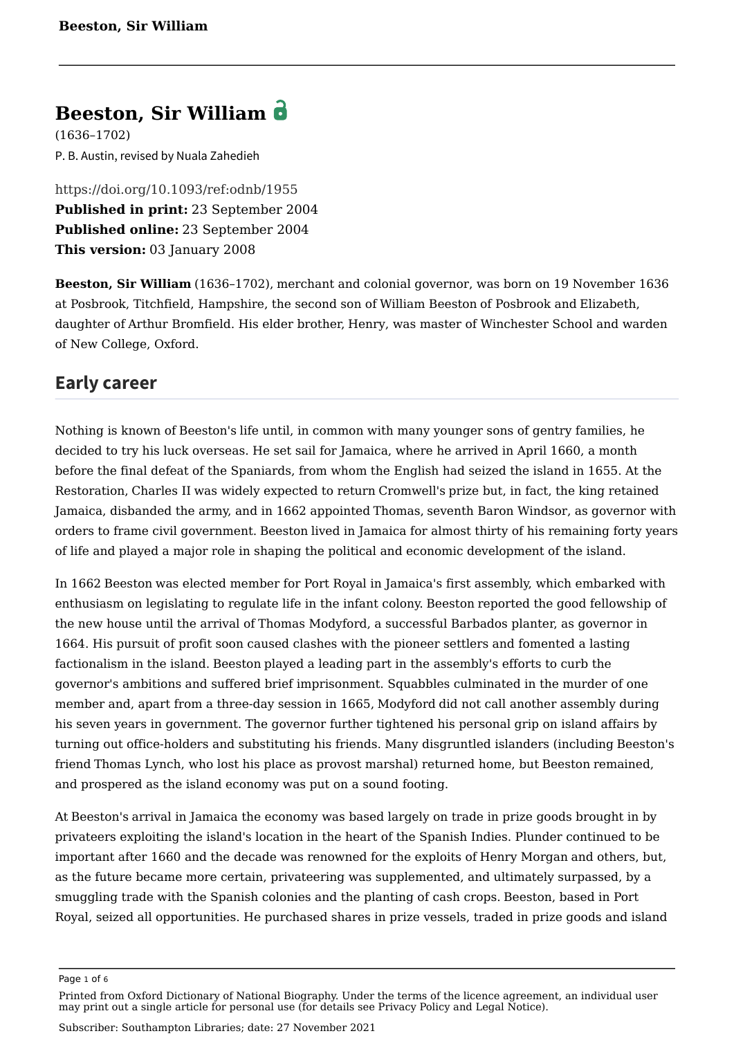# **Beeston, Sir William**

(1636–1702) P. B. Austin, revised by Nuala Zahedieh

<https://doi.org/10.1093/ref:odnb/1955> **Published in print:** 23 September 2004 **Published online:** 23 September 2004 **This version:** 03 January 2008

**Beeston, Sir William** (1636–1702), merchant and colonial governor, was born on 19 November 1636 at Posbrook, Titchfield, Hampshire, the second son of William Beeston of Posbrook and Elizabeth, daughter of Arthur Bromfield. His elder brother, Henry, was master of Winchester School and warden of New College, Oxford.

### **Early career**

Nothing is known of Beeston's life until, in common with many younger sons of gentry families, he decided to try his luck overseas. He set sail for Jamaica, where he arrived in April 1660, a month before the final defeat of the Spaniards, from whom the English had seized the island in 1655. At the Restoration, Charles II was widely expected to return Cromwell's prize but, in fact, the king retained Jamaica, disbanded the army, and in 1662 appointed Thomas, seventh Baron Windsor, as governor with orders to frame civil government. Beeston lived in Jamaica for almost thirty of his remaining forty years of life and played a major role in shaping the political and economic development of the island.

In 1662 Beeston was elected member for Port Royal in Jamaica's first assembly, which embarked with enthusiasm on legislating to regulate life in the infant colony. Beeston reported the good fellowship of the new house until the arrival of Thomas Modyford, a successful Barbados planter, as governor in 1664. His pursuit of profit soon caused clashes with the pioneer settlers and fomented a lasting factionalism in the island. Beeston played a leading part in the assembly's efforts to curb the governor's ambitions and suffered brief imprisonment. Squabbles culminated in the murder of one member and, apart from a three-day session in 1665, Modyford did not call another assembly during his seven years in government. The governor further tightened his personal grip on island affairs by turning out office-holders and substituting his friends. Many disgruntled islanders (including Beeston's friend Thomas Lynch, who lost his place as provost marshal) returned home, but Beeston remained, and prospered as the island economy was put on a sound footing.

At Beeston's arrival in Jamaica the economy was based largely on trade in prize goods brought in by privateers exploiting the island's location in the heart of the Spanish Indies. Plunder continued to be important after 1660 and the decade was renowned for the exploits of Henry Morgan and others, but, as the future became more certain, privateering was supplemented, and ultimately surpassed, by a smuggling trade with the Spanish colonies and the planting of cash crops. Beeston, based in Port Royal, seized all opportunities. He purchased shares in prize vessels, traded in prize goods and island

Page 1 of 6

Printed from Oxford Dictionary of National Biography. Under the terms of the licence agreement, an individual user may print out a single article for personal use (for details see Privacy Policy and Legal Notice).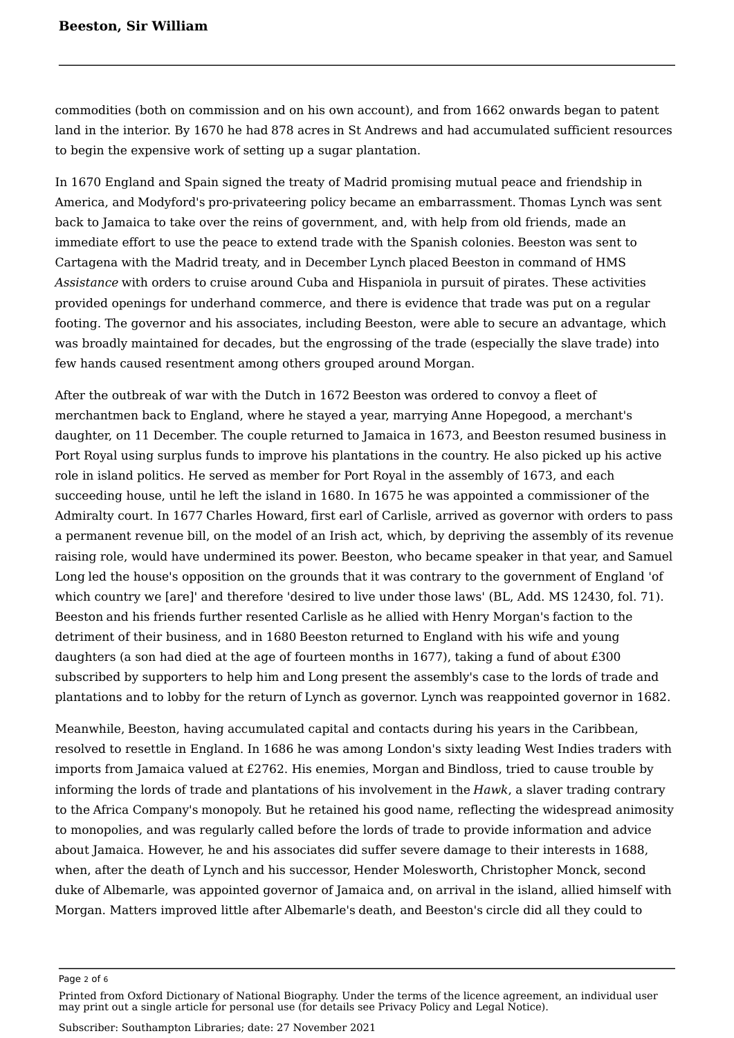commodities (both on commission and on his own account), and from 1662 onwards began to patent land in the interior. By 1670 he had 878 acres in St Andrews and had accumulated sufficient resources to begin the expensive work of setting up a sugar plantation.

In 1670 England and Spain signed the treaty of Madrid promising mutual peace and friendship in America, and Modyford's pro-privateering policy became an embarrassment. Thomas Lynch was sent back to Jamaica to take over the reins of government, and, with help from old friends, made an immediate effort to use the peace to extend trade with the Spanish colonies. Beeston was sent to Cartagena with the Madrid treaty, and in December Lynch placed Beeston in command of HMS *Assistance* with orders to cruise around Cuba and Hispaniola in pursuit of pirates. These activities provided openings for underhand commerce, and there is evidence that trade was put on a regular footing. The governor and his associates, including Beeston, were able to secure an advantage, which was broadly maintained for decades, but the engrossing of the trade (especially the slave trade) into few hands caused resentment among others grouped around Morgan.

After the outbreak of war with the Dutch in 1672 Beeston was ordered to convoy a fleet of merchantmen back to England, where he stayed a year, marrying Anne Hopegood, a merchant's daughter, on 11 December. The couple returned to Jamaica in 1673, and Beeston resumed business in Port Royal using surplus funds to improve his plantations in the country. He also picked up his active role in island politics. He served as member for Port Royal in the assembly of 1673, and each succeeding house, until he left the island in 1680. In 1675 he was appointed a commissioner of the Admiralty court. In 1677 Charles Howard, first earl of Carlisle, arrived as governor with orders to pass a permanent revenue bill, on the model of an Irish act, which, by depriving the assembly of its revenue raising role, would have undermined its power. Beeston, who became speaker in that year, and Samuel Long led the house's opposition on the grounds that it was contrary to the government of England 'of which country we [are]' and therefore 'desired to live under those laws' (BL, Add. MS 12430, fol. 71). Beeston and his friends further resented Carlisle as he allied with Henry Morgan's faction to the detriment of their business, and in 1680 Beeston returned to England with his wife and young daughters (a son had died at the age of fourteen months in 1677), taking a fund of about £300 subscribed by supporters to help him and Long present the assembly's case to the lords of trade and plantations and to lobby for the return of Lynch as governor. Lynch was reappointed governor in 1682.

Meanwhile, Beeston, having accumulated capital and contacts during his years in the Caribbean, resolved to resettle in England. In 1686 he was among London's sixty leading West Indies traders with imports from Jamaica valued at £2762. His enemies, Morgan and Bindloss, tried to cause trouble by informing the lords of trade and plantations of his involvement in the *Hawk*, a slaver trading contrary to the Africa Company's monopoly. But he retained his good name, reflecting the widespread animosity to monopolies, and was regularly called before the lords of trade to provide information and advice about Jamaica. However, he and his associates did suffer severe damage to their interests in 1688, when, after the death of Lynch and his successor, Hender Molesworth, Christopher Monck, second duke of Albemarle, was appointed governor of Jamaica and, on arrival in the island, allied himself with Morgan. Matters improved little after Albemarle's death, and Beeston's circle did all they could to

Page 2 of 6

Printed from Oxford Dictionary of National Biography. Under the terms of the licence agreement, an individual user may print out a single article for personal use (for details see Privacy Policy and Legal Notice).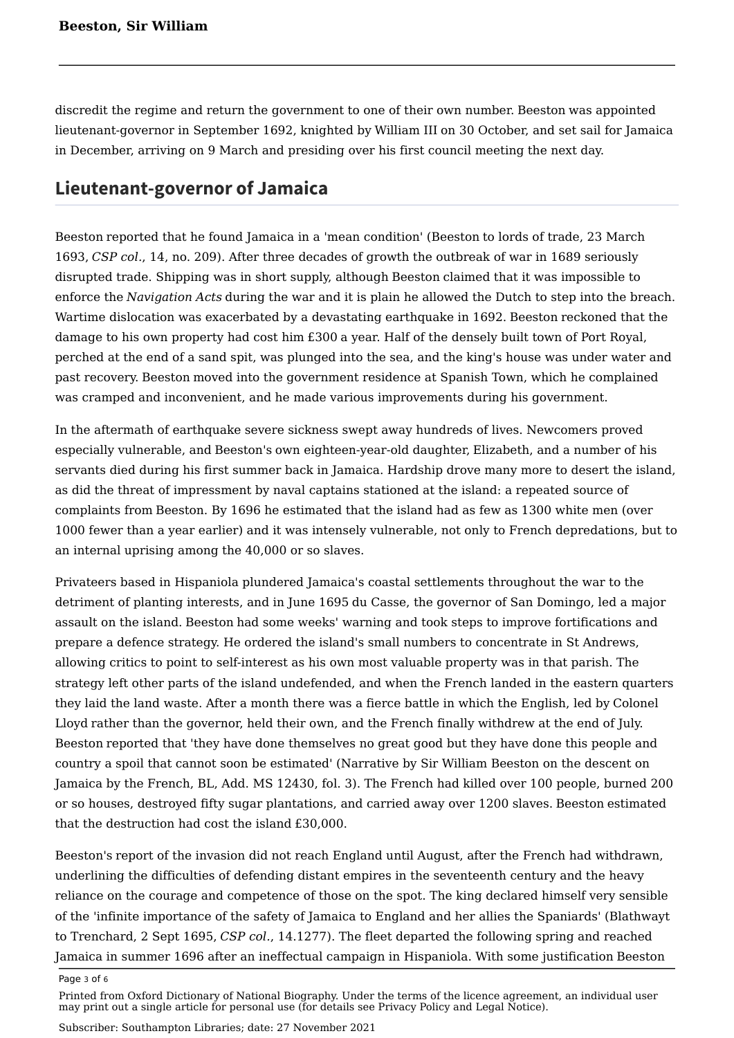discredit the regime and return the government to one of their own number. Beeston was appointed lieutenant-governor in September 1692, knighted by William III on 30 October, and set sail for Jamaica in December, arriving on 9 March and presiding over his first council meeting the next day.

## **Lieutenant-governor of Jamaica**

Beeston reported that he found Jamaica in a 'mean condition' (Beeston to lords of trade, 23 March 1693, *CSP col.*, 14, no. 209). After three decades of growth the outbreak of war in 1689 seriously disrupted trade. Shipping was in short supply, although Beeston claimed that it was impossible to enforce the *Navigation Acts* during the war and it is plain he allowed the Dutch to step into the breach. Wartime dislocation was exacerbated by a devastating earthquake in 1692. Beeston reckoned that the damage to his own property had cost him £300 a year. Half of the densely built town of Port Royal, perched at the end of a sand spit, was plunged into the sea, and the king's house was under water and past recovery. Beeston moved into the government residence at Spanish Town, which he complained was cramped and inconvenient, and he made various improvements during his government.

In the aftermath of earthquake severe sickness swept away hundreds of lives. Newcomers proved especially vulnerable, and Beeston's own eighteen-year-old daughter, Elizabeth, and a number of his servants died during his first summer back in Jamaica. Hardship drove many more to desert the island, as did the threat of impressment by naval captains stationed at the island: a repeated source of complaints from Beeston. By 1696 he estimated that the island had as few as 1300 white men (over 1000 fewer than a year earlier) and it was intensely vulnerable, not only to French depredations, but to an internal uprising among the 40,000 or so slaves.

Privateers based in Hispaniola plundered Jamaica's coastal settlements throughout the war to the detriment of planting interests, and in June 1695 du Casse, the governor of San Domingo, led a major assault on the island. Beeston had some weeks' warning and took steps to improve fortifications and prepare a defence strategy. He ordered the island's small numbers to concentrate in St Andrews, allowing critics to point to self-interest as his own most valuable property was in that parish. The strategy left other parts of the island undefended, and when the French landed in the eastern quarters they laid the land waste. After a month there was a fierce battle in which the English, led by Colonel Lloyd rather than the governor, held their own, and the French finally withdrew at the end of July. Beeston reported that 'they have done themselves no great good but they have done this people and country a spoil that cannot soon be estimated' (Narrative by Sir William Beeston on the descent on Jamaica by the French, BL, Add. MS 12430, fol. 3). The French had killed over 100 people, burned 200 or so houses, destroyed fifty sugar plantations, and carried away over 1200 slaves. Beeston estimated that the destruction had cost the island £30,000.

Beeston's report of the invasion did not reach England until August, after the French had withdrawn, underlining the difficulties of defending distant empires in the seventeenth century and the heavy reliance on the courage and competence of those on the spot. The king declared himself very sensible of the 'infinite importance of the safety of Jamaica to England and her allies the Spaniards' (Blathwayt to Trenchard, 2 Sept 1695, *CSP col.*, 14.1277). The fleet departed the following spring and reached Jamaica in summer 1696 after an ineffectual campaign in Hispaniola. With some justification Beeston

Page 3 of 6

Printed from Oxford Dictionary of National Biography. Under the terms of the licence agreement, an individual user may print out a single article for personal use (for details see Privacy Policy and Legal Notice).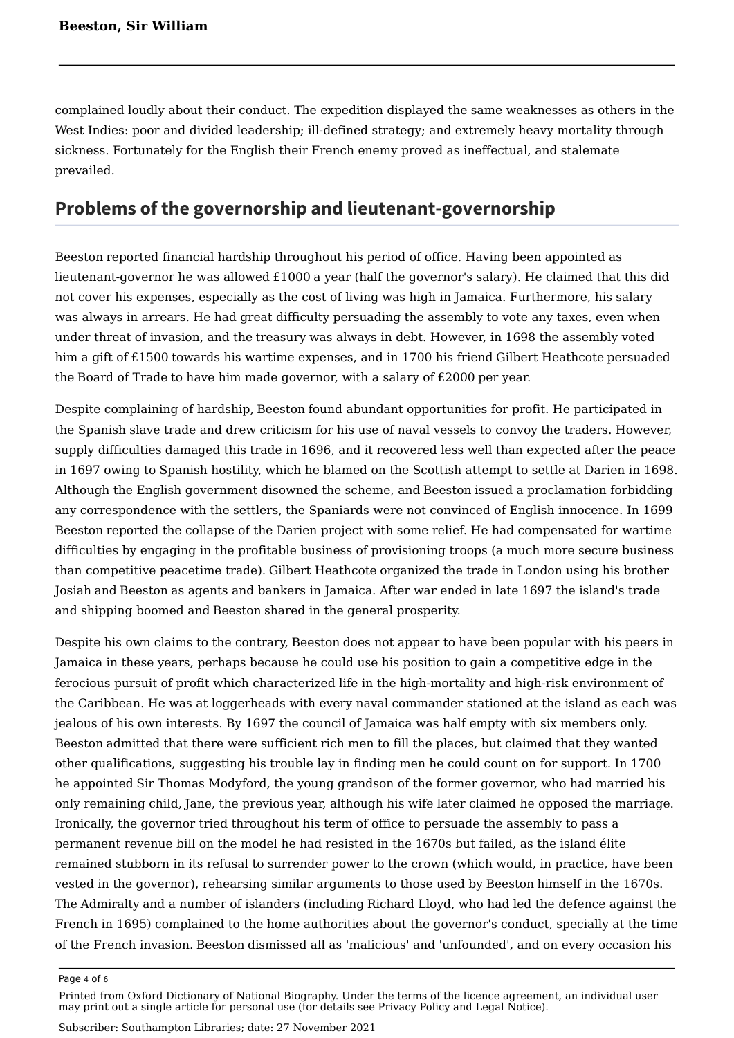complained loudly about their conduct. The expedition displayed the same weaknesses as others in the West Indies: poor and divided leadership: ill-defined strategy; and extremely heavy mortality through sickness. Fortunately for the English their French enemy proved as ineffectual, and stalemate prevailed.

## **Problems of the governorship and lieutenant-governorship**

Beeston reported financial hardship throughout his period of office. Having been appointed as lieutenant-governor he was allowed £1000 a year (half the governor's salary). He claimed that this did not cover his expenses, especially as the cost of living was high in Jamaica. Furthermore, his salary was always in arrears. He had great difficulty persuading the assembly to vote any taxes, even when under threat of invasion, and the treasury was always in debt. However, in 1698 the assembly voted him a gift of £1500 towards his wartime expenses, and in 1700 his friend Gilbert Heathcote persuaded the Board of Trade to have him made governor, with a salary of £2000 per year.

Despite complaining of hardship, Beeston found abundant opportunities for profit. He participated in the Spanish slave trade and drew criticism for his use of naval vessels to convoy the traders. However, supply difficulties damaged this trade in 1696, and it recovered less well than expected after the peace in 1697 owing to Spanish hostility, which he blamed on the Scottish attempt to settle at Darien in 1698. Although the English government disowned the scheme, and Beeston issued a proclamation forbidding any correspondence with the settlers, the Spaniards were not convinced of English innocence. In 1699 Beeston reported the collapse of the Darien project with some relief. He had compensated for wartime difficulties by engaging in the profitable business of provisioning troops (a much more secure business than competitive peacetime trade). Gilbert Heathcote organized the trade in London using his brother Josiah and Beeston as agents and bankers in Jamaica. After war ended in late 1697 the island's trade and shipping boomed and Beeston shared in the general prosperity.

Despite his own claims to the contrary, Beeston does not appear to have been popular with his peers in Jamaica in these years, perhaps because he could use his position to gain a competitive edge in the ferocious pursuit of profit which characterized life in the high-mortality and high-risk environment of the Caribbean. He was at loggerheads with every naval commander stationed at the island as each was jealous of his own interests. By 1697 the council of Jamaica was half empty with six members only. Beeston admitted that there were sufficient rich men to fill the places, but claimed that they wanted other qualifications, suggesting his trouble lay in finding men he could count on for support. In 1700 he appointed Sir Thomas Modyford, the young grandson of the former governor, who had married his only remaining child, Jane, the previous year, although his wife later claimed he opposed the marriage. Ironically, the governor tried throughout his term of office to persuade the assembly to pass a permanent revenue bill on the model he had resisted in the 1670s but failed, as the island élite remained stubborn in its refusal to surrender power to the crown (which would, in practice, have been vested in the governor), rehearsing similar arguments to those used by Beeston himself in the 1670s. The Admiralty and a number of islanders (including Richard Lloyd, who had led the defence against the French in 1695) complained to the home authorities about the governor's conduct, specially at the time of the French invasion. Beeston dismissed all as 'malicious' and 'unfounded', and on every occasion his

Page 4 of 6

Printed from Oxford Dictionary of National Biography. Under the terms of the licence agreement, an individual user may print out a single article for personal use (for details see Privacy Policy and Legal Notice).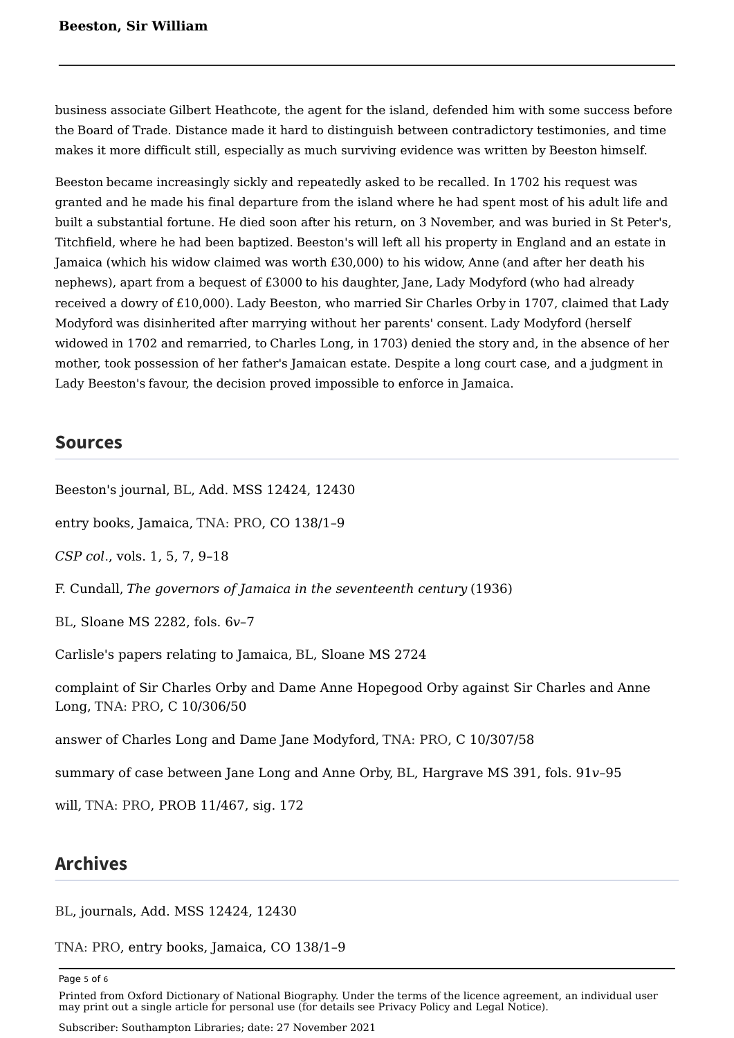business associate Gilbert Heathcote, the agent for the island, defended him with some success before the Board of Trade. Distance made it hard to distinguish between contradictory testimonies, and time makes it more difficult still, especially as much surviving evidence was written by Beeston himself.

Beeston became increasingly sickly and repeatedly asked to be recalled. In 1702 his request was granted and he made his final departure from the island where he had spent most of his adult life and built a substantial fortune. He died soon after his return, on 3 November, and was buried in St Peter's, Titchfield, where he had been baptized. Beeston's will left all his property in England and an estate in Jamaica (which his widow claimed was worth £30,000) to his widow, Anne (and after her death his nephews), apart from a bequest of £3000 to his daughter, Jane, Lady Modyford (who had already received a dowry of £10,000). Lady Beeston, who married Sir Charles Orby in 1707, claimed that Lady Modyford was disinherited after marrying without her parents' consent. Lady Modyford (herself widowed in 1702 and remarried, to Charles Long, in 1703) denied the story and, in the absence of her mother, took possession of her father's Jamaican estate. Despite a long court case, and a judgment in Lady Beeston's favour, the decision proved impossible to enforce in Jamaica.

#### **Sources**

Beeston's journal, BL, Add. MSS 12424, 12430

entry books, Jamaica, TNA: PRO, CO 138/1-9

, vols. 1, 5, 7, 9–18 *CSP col*.

F. Cundall, *The governors of Jamaica in the seventeenth century* (1936)

, Sloane MS 2282, fols. 6*v*–7 BL

Carlisle's papers relating to Jamaica, BL, Sloane MS 2724

complaint of Sir Charles Orby and Dame Anne Hopegood Orby against Sir Charles and Anne Long, TNA: PRO, C 10/306/50

answer of Charles Long and Dame Jane Modyford, TNA: PRO, C 10/307/58

summary of case between Jane Long and Anne Orby, BL, Hargrave MS 391, fols.  $91v-95$ 

will, TNA: PRO, PROB 11/467, sig. 172

### **Archives**

, journals, Add. MSS 12424, 12430 BL

TNA: PRO, entry books, Jamaica, CO 138/1-9

Page 5 of 6

Subscriber: Southampton Libraries; date: 27 November 2021

Printed from Oxford Dictionary of National Biography. Under the terms of the licence agreement, an individual user may print out a single article for personal use (for details see Privacy Policy and Legal Notice).